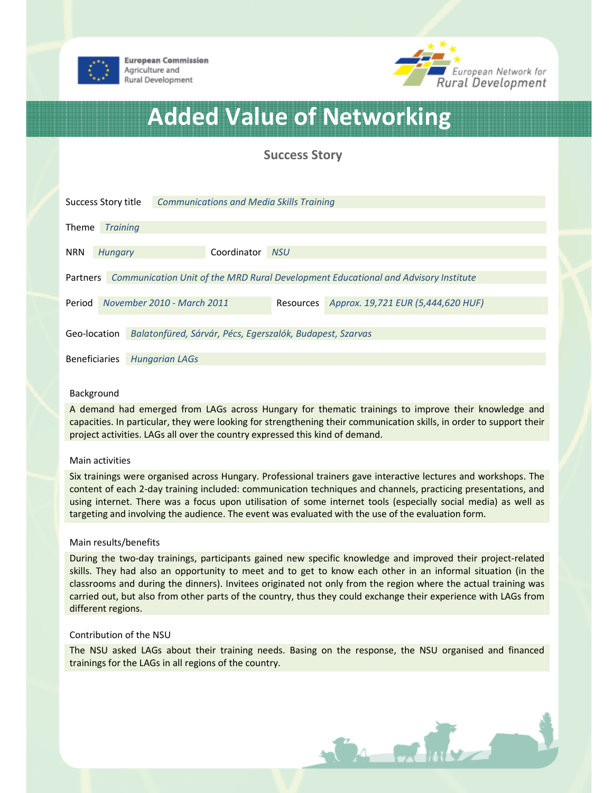

**European Commission** Agriculture and Rural Development



# Added Value of Networking

Success Story

| Success Story title                                                                            |                            |                       | <b>Communications and Media Skills Training</b> |                                    |  |  |
|------------------------------------------------------------------------------------------------|----------------------------|-----------------------|-------------------------------------------------|------------------------------------|--|--|
| Theme                                                                                          | <b>Training</b>            |                       |                                                 |                                    |  |  |
| <b>NRN</b>                                                                                     | <b>Hungary</b>             |                       | Coordinator NSU                                 |                                    |  |  |
| Communication Unit of the MRD Rural Development Educational and Advisory Institute<br>Partners |                            |                       |                                                 |                                    |  |  |
| Period                                                                                         | November 2010 - March 2011 |                       | Resources                                       | Approx. 19,721 EUR (5,444,620 HUF) |  |  |
| Geo-location<br>Balatonfüred, Sárvár, Pécs, Egerszalók, Budapest, Szarvas                      |                            |                       |                                                 |                                    |  |  |
| <b>Beneficiaries</b>                                                                           |                            | <b>Hungarian LAGs</b> |                                                 |                                    |  |  |

### Background

A demand had emerged from LAGs across Hungary for thematic trainings to improve their knowledge and capacities. In particular, they were looking for strengthening their communication skills, in order to support their project activities. LAGs all over the country expressed this kind of demand.

#### Main activities

Six trainings were organised across Hungary. Professional trainers gave interactive lectures and workshops. The content of each 2-day training included: communication techniques and channels, practicing presentations, and using internet. There was a focus upon utilisation of some internet tools (especially social media) as well as targeting and involving the audience. The event was evaluated with the use of the evaluation form.

#### Main results/benefits

During the two-day trainings, participants gained new specific knowledge and improved their project-related skills. They had also an opportunity to meet and to get to know each other in an informal situation (in the classrooms and during the dinners). Invitees originated not only from the region where the actual training was carried out, but also from other parts of the country, thus they could exchange their experience with LAGs from different regions.

#### Contribution of the NSU

The NSU asked LAGs about their training needs. Basing on the response, the NSU organised and financed trainings for the LAGs in all regions of the country.

**Bar printed**